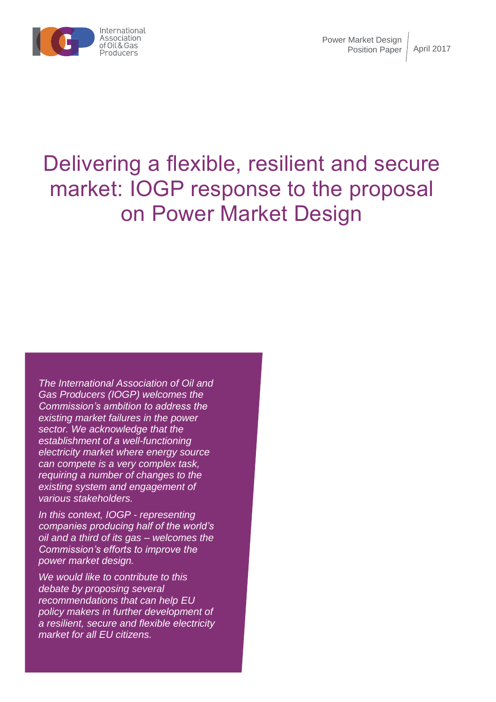

# Delivering a flexible, resilient and secure market: IOGP response to the proposal on Power Market Design

*The International Association of Oil and Gas Producers (IOGP) welcomes the Commission's ambition to address the existing market failures in the power sector. We acknowledge that the establishment of a well-functioning electricity market where energy source can compete is a very complex task, requiring a number of changes to the existing system and engagement of various stakeholders.* 

*In this context, IOGP - representing companies producing half of the world's oil and a third of its gas – welcomes the Commission's efforts to improve the power market design.*

*We would like to contribute to this debate by proposing several recommendations that can help EU policy makers in further development of a resilient, secure and flexible electricity market for all EU citizens.*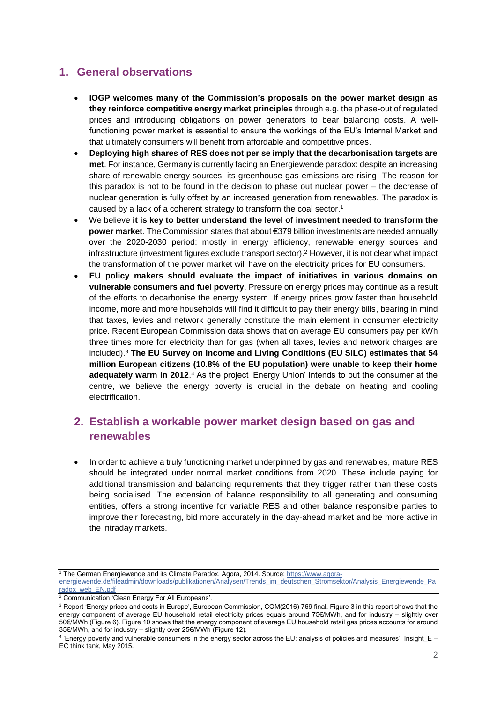## **1. General observations**

- **IOGP welcomes many of the Commission's proposals on the power market design as they reinforce competitive energy market principles** through e.g. the phase-out of regulated prices and introducing obligations on power generators to bear balancing costs. A wellfunctioning power market is essential to ensure the workings of the EU's Internal Market and that ultimately consumers will benefit from affordable and competitive prices.
- **Deploying high shares of RES does not per se imply that the decarbonisation targets are met**. For instance, Germany is currently facing an Energiewende paradox: despite an increasing share of renewable energy sources, its greenhouse gas emissions are rising. The reason for this paradox is not to be found in the decision to phase out nuclear power – the decrease of nuclear generation is fully offset by an increased generation from renewables. The paradox is caused by a lack of a coherent strategy to transform the coal sector. 1
- We believe **it is key to better understand the level of investment needed to transform the power market**. The Commission states that about €379 billion investments are needed annually over the 2020-2030 period: mostly in energy efficiency, renewable energy sources and infrastructure (investment figures exclude transport sector).<sup>2</sup> However, it is not clear what impact the transformation of the power market will have on the electricity prices for EU consumers.
- **EU policy makers should evaluate the impact of initiatives in various domains on vulnerable consumers and fuel poverty**. Pressure on energy prices may continue as a result of the efforts to decarbonise the energy system. If energy prices grow faster than household income, more and more households will find it difficult to pay their energy bills, bearing in mind that taxes, levies and network generally constitute the main element in consumer electricity price. Recent European Commission data shows that on average EU consumers pay per kWh three times more for electricity than for gas (when all taxes, levies and network charges are included). <sup>3</sup> **The EU Survey on Income and Living Conditions (EU SILC) estimates that 54 million European citizens (10.8% of the EU population) were unable to keep their home**  adequately warm in 2012.<sup>4</sup> As the project 'Energy Union' intends to put the consumer at the centre, we believe the energy poverty is crucial in the debate on heating and cooling electrification.

### **2. Establish a workable power market design based on gas and renewables**

• In order to achieve a truly functioning market underpinned by gas and renewables, mature RES should be integrated under normal market conditions from 2020. These include paying for additional transmission and balancing requirements that they trigger rather than these costs being socialised. The extension of balance responsibility to all generating and consuming entities, offers a strong incentive for variable RES and other balance responsible parties to improve their forecasting, bid more accurately in the day-ahead market and be more active in the intraday markets.

<sup>2</sup> Communication 'Clean Energy For All Europeans'

 $\overline{a}$ 

<sup>3</sup> Report 'Energy prices and costs in Europe', European Commission, COM(2016) 769 final. Figure 3 in this report shows that the energy component of average EU household retail electricity prices equals around 75€/MWh, and for industry – slightly over 50€/MWh (Figure 6). Figure 10 shows that the energy component of average EU household retail gas prices accounts for around 35€/MWh, and for industry – slightly over 25€/MWh (Figure 12).

<sup>1</sup> The German Energiewende and its Climate Paradox, Agora, 2014. Source[: https://www.agora-](https://www.agora-energiewende.de/fileadmin/downloads/publikationen/Analysen/Trends_im_deutschen_Stromsektor/Analysis_Energiewende_Paradox_web_EN.pdf)

[energiewende.de/fileadmin/downloads/publikationen/Analysen/Trends\\_im\\_deutschen\\_Stromsektor/Analysis\\_Energiewende\\_Pa](https://www.agora-energiewende.de/fileadmin/downloads/publikationen/Analysen/Trends_im_deutschen_Stromsektor/Analysis_Energiewende_Paradox_web_EN.pdf) [radox\\_web\\_EN.pdf](https://www.agora-energiewende.de/fileadmin/downloads/publikationen/Analysen/Trends_im_deutschen_Stromsektor/Analysis_Energiewende_Paradox_web_EN.pdf)

<sup>4</sup> 'Energy poverty and vulnerable consumers in the energy sector across the EU: analysis of policies and measures', Insight\_E – EC think tank, May 2015.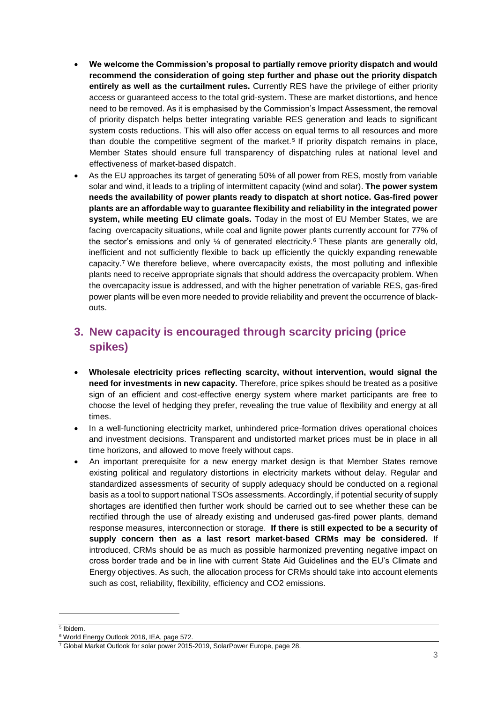- **We welcome the Commission's proposal to partially remove priority dispatch and would recommend the consideration of going step further and phase out the priority dispatch entirely as well as the curtailment rules.** Currently RES have the privilege of either priority access or guaranteed access to the total grid-system. These are market distortions, and hence need to be removed. As it is emphasised by the Commission's Impact Assessment, the removal of priority dispatch helps better integrating variable RES generation and leads to significant system costs reductions. This will also offer access on equal terms to all resources and more than double the competitive segment of the market.<sup>5</sup> If priority dispatch remains in place, Member States should ensure full transparency of dispatching rules at national level and effectiveness of market-based dispatch.
- As the EU approaches its target of generating 50% of all power from RES, mostly from variable solar and wind, it leads to a tripling of intermittent capacity (wind and solar). **The power system needs the availability of power plants ready to dispatch at short notice. Gas-fired power plants are an affordable way to guarantee flexibility and reliability in the integrated power system, while meeting EU climate goals.** Today in the most of EU Member States, we are facing overcapacity situations, while coal and lignite power plants currently account for 77% of the sector's emissions and only  $\frac{1}{4}$  of generated electricity.<sup>6</sup> These plants are generally old, inefficient and not sufficiently flexible to back up efficiently the quickly expanding renewable capacity.<sup>7</sup> We therefore believe, where overcapacity exists, the most polluting and inflexible plants need to receive appropriate signals that should address the overcapacity problem. When the overcapacity issue is addressed, and with the higher penetration of variable RES, gas-fired power plants will be even more needed to provide reliability and prevent the occurrence of blackouts.

# **3. New capacity is encouraged through scarcity pricing (price spikes)**

- **Wholesale electricity prices reflecting scarcity, without intervention, would signal the need for investments in new capacity.** Therefore, price spikes should be treated as a positive sign of an efficient and cost-effective energy system where market participants are free to choose the level of hedging they prefer, revealing the true value of flexibility and energy at all times.
- In a well-functioning electricity market, unhindered price-formation drives operational choices and investment decisions. Transparent and undistorted market prices must be in place in all time horizons, and allowed to move freely without caps.
- An important prerequisite for a new energy market design is that Member States remove existing political and regulatory distortions in electricity markets without delay. Regular and standardized assessments of security of supply adequacy should be conducted on a regional basis as a tool to support national TSOs assessments. Accordingly, if potential security of supply shortages are identified then further work should be carried out to see whether these can be rectified through the use of already existing and underused gas-fired power plants, demand response measures, interconnection or storage. **If there is still expected to be a security of supply concern then as a last resort market-based CRMs may be considered.** If introduced, CRMs should be as much as possible harmonized preventing negative impact on cross border trade and be in line with current State Aid Guidelines and the EU's Climate and Energy objectives. As such, the allocation process for CRMs should take into account elements such as cost, reliability, flexibility, efficiency and CO2 emissions.

5 Ibidem.

 $\overline{a}$ 

<sup>6</sup> World Energy Outlook 2016, IEA, page 572.

<sup>7</sup> Global Market Outlook for solar power 2015-2019, SolarPower Europe, page 28.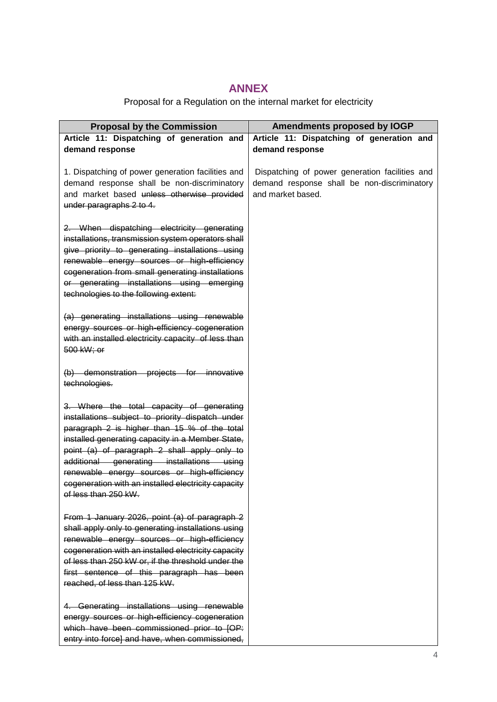#### **ANNEX**

# Proposal for a Regulation on the internal market for electricity

| <b>Proposal by the Commission</b>                                                                                                                                                                                                                                                                                                                                                                                            | Amendments proposed by IOGP                                                                                        |
|------------------------------------------------------------------------------------------------------------------------------------------------------------------------------------------------------------------------------------------------------------------------------------------------------------------------------------------------------------------------------------------------------------------------------|--------------------------------------------------------------------------------------------------------------------|
| Article 11: Dispatching of generation and                                                                                                                                                                                                                                                                                                                                                                                    | Article 11: Dispatching of generation and                                                                          |
| demand response                                                                                                                                                                                                                                                                                                                                                                                                              | demand response                                                                                                    |
| 1. Dispatching of power generation facilities and<br>demand response shall be non-discriminatory<br>and market based unless otherwise provided<br>under paragraphs 2 to 4.                                                                                                                                                                                                                                                   | Dispatching of power generation facilities and<br>demand response shall be non-discriminatory<br>and market based. |
| 2. When dispatching electricity generating<br>installations, transmission system operators shall<br>give priority to generating installations using<br>renewable energy sources or high-efficiency<br>cogeneration from small generating installations<br>or generating installations using emerging<br>technologies to the following extent:                                                                                |                                                                                                                    |
| (a) generating installations using renewable<br>energy sources or high-efficiency cogeneration<br>with an installed electricity capacity of less than<br>500 kW; or                                                                                                                                                                                                                                                          |                                                                                                                    |
| (b) demonstration projects for innovative<br>technologies.                                                                                                                                                                                                                                                                                                                                                                   |                                                                                                                    |
| 3. Where the total capacity of generating<br>installations subject to priority dispatch under<br>paragraph 2 is higher than 15 % of the total<br>installed generating capacity in a Member State,<br>point (a) of paragraph 2 shall apply only to<br>additional generating installations using<br>renewable energy sources or high-efficiency<br>cogeneration with an installed electricity capacity<br>et less than 250 kW. |                                                                                                                    |
| From 1 January 2026, point (a) of paragraph 2<br>shall apply only to generating installations using<br>renewable energy sources or high-efficiency<br>cogeneration with an installed electricity capacity<br>of less than 250 kW or, if the threshold under the<br>first sentence of this paragraph has been<br>reached, of less than 125 kW.                                                                                |                                                                                                                    |
| 4. Generating installations using renewable<br>energy sources or high-efficiency cogeneration<br>which have been commissioned prior to [OP:<br>entry into force] and have, when commissioned,                                                                                                                                                                                                                                |                                                                                                                    |